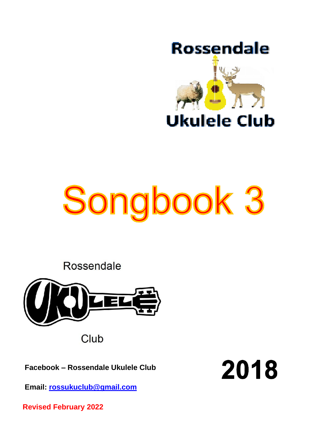

# Songbook 3

Rossendale



Club

**Facebook – Rossendale Ukulele Club** 

**Email: [rossukuclub@gmail.com](mailto:rossukuclub@gmail.com)**

**Revised February 2022**

# 2018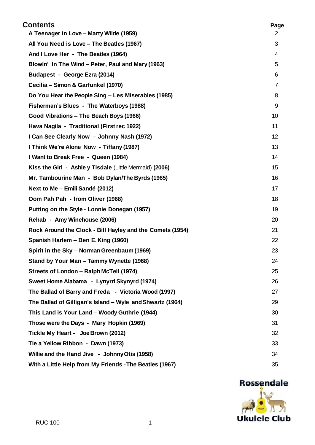| <b>Contents</b>                                           | Page           |
|-----------------------------------------------------------|----------------|
| A Teenager in Love - Marty Wilde (1959)                   | $\overline{2}$ |
| All You Need is Love - The Beatles (1967)                 | 3              |
| And I Love Her - The Beatles (1964)                       | 4              |
| Blowin' In The Wind - Peter, Paul and Mary (1963)         | 5              |
| Budapest - George Ezra (2014)                             | 6              |
| Cecilia - Simon & Garfunkel (1970)                        | $\overline{7}$ |
| Do You Hear the People Sing - Les Miserables (1985)       | 8              |
| Fisherman's Blues - The Waterboys (1988)                  | 9              |
| Good Vibrations - The Beach Boys (1966)                   | 10             |
| Hava Nagila - Traditional (First rec 1922)                | 11             |
| I Can See Clearly Now - Johnny Nash (1972)                | 12             |
| I Think We're Alone Now - Tiffany (1987)                  | 13             |
| I Want to Break Free - Queen (1984)                       | 14             |
| Kiss the Girl - Ashle y Tisdale (Little Mermaid) (2006)   | 15             |
| Mr. Tambourine Man - Bob Dylan/The Byrds (1965)           | 16             |
| Next to Me - Emili Sandé (2012)                           | 17             |
| Oom Pah Pah - from Oliver (1968)                          | 18             |
| Putting on the Style - Lonnie Donegan (1957)              | 19             |
| Rehab - Amy Winehouse (2006)                              | 20             |
| Rock Around the Clock - Bill Hayley and the Comets (1954) | 21             |
| Spanish Harlem - Ben E. King (1960)                       | 22             |
| Spirit in the Sky - Norman Greenbaum (1969)               | 23             |
| Stand by Your Man - Tammy Wynette (1968)                  | 24             |
| Streets of London - Ralph McTell (1974)                   | 25             |
| Sweet Home Alabama - Lynyrd Skynyrd (1974)                | 26             |
| The Ballad of Barry and Freda - Victoria Wood (1997)      | 27             |
| The Ballad of Gilligan's Island - Wyle and Shwartz (1964) | 29             |
| This Land is Your Land - Woody Guthrie (1944)             | 30             |
| Those were the Days - Mary Hopkin (1969)                  | 31             |
| Tickle My Heart - Joe Brown (2012)                        | 32             |
| Tie a Yellow Ribbon - Dawn (1973)                         | 33             |
| Willie and the Hand Jive - Johnny Otis (1958)             | 34             |
| With a Little Help from My Friends - The Beatles (1967)   | 35             |

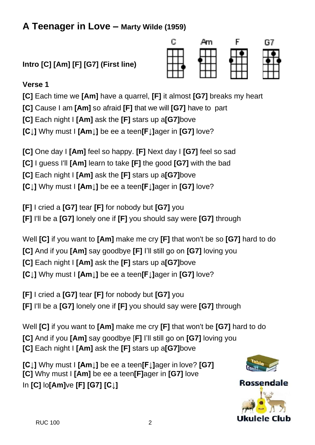# **A Teenager in Love – Marty Wilde (1959)**

# <span id="page-2-0"></span>**Intro [C] [Am] [F] [G7] (First line)**



#### **Verse 1**

**[C]** Each time we **[Am]** have a quarrel, **[F]** it almost **[G7]** breaks my heart

**[C]** Cause I am **[Am]** so afraid **[F]** that we will **[G7]** have to part

**[C]** Each night I **[Am]** ask the **[F]** stars up a**[G7]**bove

**[C↓]** Why must I **[Am↓]** be ee a teen**[F↓]**ager in **[G7]** love?

**[C]** One day I **[Am]** feel so happy. **[F]** Next day I **[G7]** feel so sad

**[C]** I guess I'll **[Am]** learn to take **[F]** the good **[G7]** with the bad

**[C]** Each night I **[Am]** ask the **[F]** stars up a**[G7]**bove

**[C↓]** Why must I **[Am↓]** be ee a teen**[F↓]**ager in **[G7]** love?

**[F]** I cried a **[G7]** tear **[F]** for nobody but **[G7]** you **[F]** I'll be a **[G7]** lonely one if **[F]** you should say were **[G7]** through

Well **[C]** if you want to **[Am]** make me cry **[F]** that won't be so **[G7]** hard to do **[C]** And if you **[Am]** say goodbye **[F]** I'll still go on **[G7]** loving you **[C]** Each night I **[Am]** ask the **[F]** stars up a**[G7]**bove **[C↓]** Why must I **[Am↓]** be ee a teen**[F↓]**ager in **[G7]** love?

**[F]** I cried a **[G7]** tear **[F]** for nobody but **[G7]** you **[F]** I'll be a **[G7]** lonely one if **[F]** you should say were **[G7]** through

Well **[C]** if you want to **[Am]** make me cry **[F]** that won't be **[G7]** hard to do **[C]** And if you **[Am]** say goodbye [**F]** I'll still go on **[G7]** loving you **[C]** Each night I **[Am]** ask the **[F]** stars up a**[G7]**bove

**[C↓]** Why must I **[Am↓]** be ee a teen**[F↓]**ager in love? **[G7] [C]** Why must I **[Am]** be ee a teen**[F]**ager in **[G7]** love In **[C]** lo**[Am]**ve **[F] [G7] [C↓]**



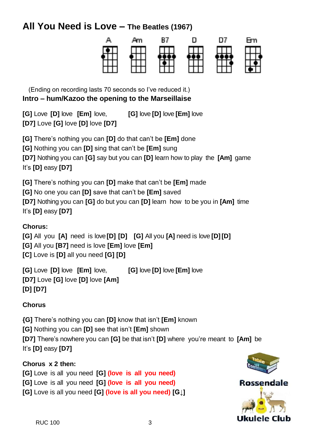# **All You Need is Love – The Beatles (1967)**



<span id="page-3-0"></span>(Ending on recording lasts 70 seconds so I've reduced it.) **Intro – hum/Kazoo the opening to the Marseillaise**

**[G]** Love **[D]** love **[Em]** love, **[G]** love **[D]** love **[Em]** love **[D7]** Love **[G]** love **[D]** love **[D7]**

**[G]** There's nothing you can **[D]** do that can't be **[Em]** done

**[G]** Nothing you can **[D]** sing that can't be **[Em]** sung

**[D7]** Nothing you can **[G]** say but you can **[D]** learn how to play the **[Am]** game It's **[D]** easy **[D7]**

**[G]** There's nothing you can **[D]** make that can't be **[Em]** made

**[G]** No one you can **[D]** save that can't be **[Em]** saved

**[D7]** Nothing you can **[G]** do but you can **[D]** learn how to be you in **[Am]** time It's **[D]** easy **[D7]**

#### **Chorus:**

**[G]** All you **[A]** need is love**[D] [D] [G]** All you **[A]** need is love **[D][D]**

**[G]** All you **[B7]** need is love **[Em]** love **[Em]**

**[C]** Love is **[D]** all you need **[G] [D]**

**[G]** Love **[D]** love **[Em]** love, **[G]** love **[D]** love **[Em]** love **[D7]** Love **[G]** love **[D]** love **[Am] [D] [D7]** 

#### **Chorus**

**{G]** There's nothing you can **[D]** know that isn't **[Em]** known **[G]** Nothing you can **[D]** see that isn't **[Em]** shown **[D7]** There's nowhere you can **[G]** be that isn't **[D]** where you're meant to **[Am]** be It's **[D]** easy **[D7]**

**Chorus x 2 then: [G]** Love is all you need **[G] (love is all you need) [G]** Love is all you need **[G] (love is all you need) [G]** Love is all you need **[G] (love is all you need) [G↓]**

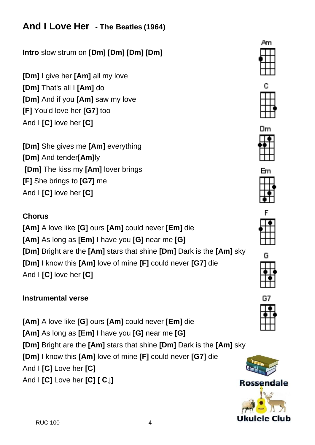# **And I Love Her - The Beatles (1964)**

# <span id="page-4-0"></span>**Intro** slow strum on **[Dm] [Dm] [Dm] [Dm]**

**[Dm]** I give her **[Am]** all my love **[Dm]** That's all I **[Am]** do **[Dm]** And if you **[Am]** saw my love **[F]** You'd love her **[G7]** too And I **[C]** love her **[C]**

**[Dm]** She gives me **[Am]** everything **[Dm]** And tender**[Am]**ly **[Dm]** The kiss my **[Am]** lover brings **[F]** She brings to **[G7]** me And I **[C]** love her **[C]**

#### **Chorus**

**[Am]** A love like **[G]** ours **[Am]** could never **[Em]** die **[Am]** As long as **[Em]** I have you **[G]** near me **[G] [Dm]** Bright are the **[Am]** stars that shine **[Dm]** Dark is the **[Am]** sky **[Dm]** I know this **[Am]** love of mine **[F]** could never **[G7]** die And I **[C]** love her **[C]**

#### **Instrumental verse**

**[Am]** A love like **[G]** ours **[Am]** could never **[Em]** die **[Am]** As long as **[Em]** I have you **[G]** near me **[G] [Dm]** Bright are the **[Am]** stars that shine **[Dm]** Dark is the **[Am]** sky **[Dm]** I know this **[Am]** love of mine **[F]** could never **[G7]** die And I **[C]** Love her **[C]** And I **[C]** Love her **[C] [ C↓]**















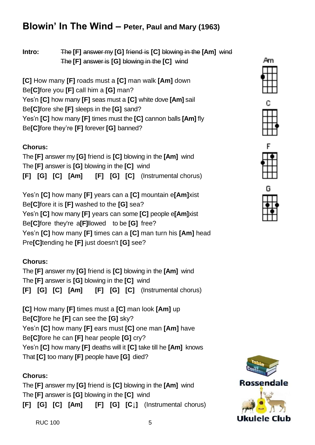# **Blowin' In The Wind – Peter, Paul and Mary (1963)**

<span id="page-5-0"></span>

**Intro:** The **[F]** answer my **[G]** friend is **[C]** blowing in the **[Am]** wind The **[F]** answer is **[G]** blowing in the **[C]** wind

**[C]** How many **[F]** roads must a **[C]** man walk **[Am]** down Be**[C]**fore you **[F]** call him a **[G]** man? Yes'n **[C]** how many **[F]** seas must a **[C]** white dove **[Am]** sail Be**[C]**fore she **[F]** sleeps in the **[G]** sand? Yes'n **[C]** how many **[F]** times must the **[C]** cannon balls **[Am]** fly Be**[C]**fore they're **[F]** forever **[G]** banned?

#### **Chorus:**

The **[F]** answer my **[G]** friend is **[C]** blowing in the **[Am]** wind The **[F]** answer is **[G]** blowing in the **[C]** wind **[F] [G] [C] [Am] [F] [G] [C]** (Instrumental chorus)

Yes'n **[C]** how many **[F]** years can a **[C]** mountain e**[Am]**xist Be**[C]**fore it is **[F]** washed to the **[G]** sea? Yes'n **[C]** how many **[F]** years can some **[C]** people e**[Am]**xist Be**[C]**fore they're a**[F]**llowed to be **[G]** free? Yes'n **[C]** how many **[F]** times can a **[C]** man turn his **[Am]** head Pre**[C]**tending he **[F]** just doesn't **[G]** see?

#### **Chorus:**

The **[F]** answer my **[G]** friend is **[C]** blowing in the **[Am]** wind The **[F]** answer is **[G]** blowing in the **[C]** wind **[F] [G] [C] [Am] [F] [G] [C]** (Instrumental chorus)

**[C]** How many **[F]** times must a **[C]** man look **[Am]** up Be**[C]**fore he **[F]** can see the **[G]** sky? Yes'n **[C]** how many **[F]** ears must **[C]** one man **[Am]** have Be**[C]**fore he can **[F]** hear people **[G]** cry? Yes'n **[C]** how many **[F]** deaths will it **[C]** take till he **[Am]** knows That **[C]** too many **[F]** people have **[G]** died?

#### **Chorus:**

**[F] [G] [C] [Am] [F] [G] [C↓]** (Instrumental chorus) The **[F]** answer my **[G]** friend is **[C]** blowing in the **[Am]** wind The **[F]** answer is **[G]** blowing in the **[C]** wind



Am





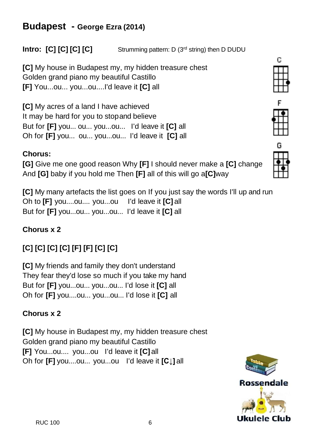# **Budapest - George Ezra (2014)**

<span id="page-6-0"></span>**Intro:** [C] [C] [C] [C] **[C]** Strumming pattern: D (3<sup>rd</sup> string) then D DUDU

**[C]** My house in Budapest my, my hidden treasure chest Golden grand piano my beautiful Castillo **[F]** You...ou... you...ou....I'd leave it **[C]** all

**[C]** My acres of a land I have achieved It may be hard for you to stopand believe But for **[F]** you... ou... you...ou... I'd leave it **[C]** all Oh for **[F]** you... ou... you...ou... I'd leave it **[C]** all

#### **Chorus:**

**[G]** Give me one good reason Why **[F]** I should never make a **[C]** change And **[G]** baby if you hold me Then **[F]** all of this will go a**[C]**way

**[C]** My many artefacts the list goes on If you just say the words I'll up and run Oh to **[F]** you....ou.... you...ou I'd leave it **[C]** all But for **[F]** you...ou... you...ou... I'd leave it **[C]** all

#### **Chorus x 2**

# **[C] [C] [C] [C] [F] [F] [C] [C]**

**[C]** My friends and family they don't understand They fear they'd lose so much if you take my hand But for **[F]** you...ou... you...ou... I'd lose it **[C]** all Oh for **[F]** you....ou... you...ou... I'd lose it **[C]** all

#### **Chorus x 2**

**[C]** My house in Budapest my, my hidden treasure chest Golden grand piano my beautiful Castillo **[F]** You...ou.... you...ou I'd leave it **[C]** all Oh for **[F]** you....ou... you...ou I'd leave it **[C↓]** all







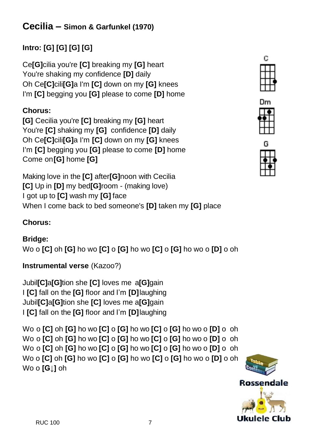# **Cecilia – Simon & Garfunkel (1970)**

# <span id="page-7-0"></span>**Intro: [G] [G] [G] [G]**

Ce**[G]**cilia you're **[C]** breaking my **[G]** heart You're shaking my confidence **[D]** daily Oh Ce**[C]**cili**[G]**a I'm **[C]** down on my **[G]** knees I'm **[C]** begging you **[G]** please to come **[D]** home

#### **Chorus:**

**[G]** Cecilia you're **[C]** breaking my **[G]** heart You're **[C]** shaking my **[G]** confidence **[D]** daily Oh Ce**[C]**cili**[G]**a I'm **[C]** down on my **[G]** knees I'm **[C]** begging you **[G]** please to come **[D]** home Come on**[G]** home **[G]**

Making love in the **[C]** after**[G]**noon with Cecilia **[C]** Up in **[D]** my bed**[G]**room - (making love) I got up to **[C]** wash my **[G]** face When I come back to bed someone's **[D]** taken my **[G]** place

#### **Chorus:**

#### **Bridge:**

Wo o **[C]** oh **[G]** ho wo **[C]** o **[G]** ho wo **[C]** o **[G]** ho wo o **[D]** o oh

**Instrumental verse** (Kazoo?)

Jubil**[C]**a**[G]**tion she **[C]** loves me a**[G]**gain I **[C]** fall on the **[G]** floor and I'm **[D]**laughing Jubil**[C]**a**[G]**tion she **[C]** loves me a**[G]**gain I **[C]** fall on the **[G]** floor and I'm **[D]**laughing

Wo o **[C]** oh **[G]** ho wo **[C]** o **[G]** ho wo **[C]** o **[G]** ho wo o **[D]** o oh Wo o **[C]** oh **[G]** ho wo **[C]** o **[G]** ho wo **[C]** o **[G]** ho wo o **[D]** o oh Wo o **[C]** oh **[G]** ho wo **[C]** o **[G]** ho wo **[C]** o **[G]** ho wo o **[D]** o oh Wo o **[C]** oh **[G]** ho wo **[C]** o **[G]** ho wo **[C]** o **[G]** ho wo o **[D]** o oh Wo o **[G↓]** oh







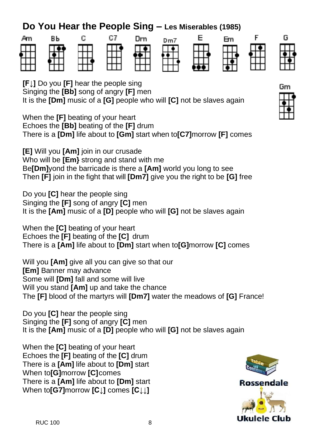**Do You Hear the People Sing – Les Miserables (1985)**





Вĥ









F

Gm

<span id="page-8-0"></span>**[F↓]** Do you **[F]** hear the people sing Singing the **[Bb]** song of angry **[F]** men It is the **[Dm]** music of a **[G]** people who will **[C]** not be slaves again

When the **[F]** beating of your heart Echoes the **[Bb]** beating of the **[F]** drum There is a **[Dm]** life about to **[Gm]** start when to**[C7]**morrow **[F]** comes

**[E]** Will you **[Am]** join in our crusade Who will be **[Em}** strong and stand with me Be**[Dm]**yond the barricade is there a **[Am]** world you long to see Then **[F]** join in the fight that will **[Dm7]** give you the right to be **[G]** free

Do you **[C]** hear the people sing Singing the **[F]** song of angry **[C]** men It is the **[Am]** music of a **[D]** people who will **[G]** not be slaves again

When the **[C]** beating of your heart Echoes the **[F]** beating of the **[C]** drum There is a **[Am]** life about to **[Dm]** start when to**[G]**morrow **[C]** comes

Will you **[Am]** give all you can give so that our **[Em]** Banner may advance Some will **[Dm]** fall and some will live Will you stand **[Am]** up and take the chance The **[F]** blood of the martyrs will **[Dm7]** water the meadows of **[G]** France!

Do you **[C]** hear the people sing Singing the **[F]** song of angry **[C]** men It is the **[Am]** music of a **[D]** people who will **[G]** not be slaves again

When the **[C]** beating of your heart Echoes the **[F]** beating of the **[C]** drum There is a **[Am]** life about to **[Dm]** start When to**[G]**morrow **[C]**comes There is a **[Am]** life about to **[Dm]** start When to**[G7]**morrow **[C↓]** comes **[C↓↓]**

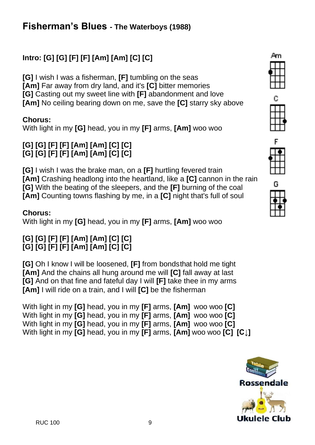# **Fisherman's Blues - The Waterboys (1988)**

# <span id="page-9-0"></span>**Intro: [G] [G] [F] [F] [Am] [Am] [C] [C]**

**[G]** I wish I was a fisherman, **[F]** tumbling on the seas **[Am]** Far away from dry land, and it's **[C]** bitter memories **[G]** Casting out my sweet line with **[F]** abandonment and love **[Am]** No ceiling bearing down on me, save the **[C]** starry sky above

#### **Chorus:**

With light in my **[G]** head, you in my **[F]** arms, **[Am]** woo woo

#### **[G] [G] [F] [F] [Am] [Am] [C] [C] [G] [G] [F] [F] [Am] [Am] [C] [C]**

**[G]** I wish I was the brake man, on a **[F]** hurtling fevered train **[Am]** Crashing headlong into the heartland, like a **[C]** cannon in the rain **[G]** With the beating of the sleepers, and the **[F]** burning of the coal **[Am]** Counting towns flashing by me, in a **[C]** night that's full of soul

#### **Chorus:**

With light in my **[G]** head, you in my **[F]** arms, **[Am]** woo woo

#### **[G] [G] [F] [F] [Am] [Am] [C] [C] [G] [G] [F] [F] [Am] [Am] [C] [C]**

**[G]** Oh I know I will be loosened, **[F]** from bondsthat hold me tight **[Am]** And the chains all hung around me will **[C]** fall away at last **[G]** And on that fine and fateful day I will **[F]** take thee in my arms **[Am]** I will ride on a train, and I will **[C]** be the fisherman

With light in my **[G]** head, you in my **[F]** arms, **[Am]** woo woo **[C]**  With light in my **[G]** head, you in my **[F]** arms, **[Am]** woo woo **[C]**  With light in my **[G]** head, you in my **[F]** arms, **[Am]** woo woo **[C]**  With light in my **[G]** head, you in my **[F]** arms, **[Am]** woo woo **[C] [C↓]**









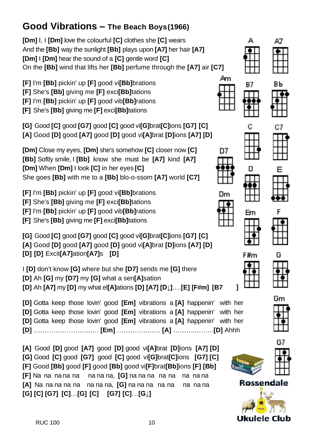# **Good Vibrations – The Beach Boys(1966)**

<span id="page-10-0"></span>**[Dm]** I, I **[Dm]** love the colourful **[C]** clothes she **[C]** wears And the **[Bb]** way the sunlight **[Bb]** plays upon **[A7]** her hair **[A7] [Dm]** I **[Dm]** hear the sound of a **[C]** gentle word **[C]** On the **[Bb]** wind that lifts her **[Bb]** perfume through the **[A7]** air **[C7]**

**[F]** I'm **[Bb]** pickin' up **[F]** good vi**[Bb]**brations

**[F]** She's **[Bb]** giving me **[F]** exci**[Bb]**tations

**[F]** I'm **[Bb]** pickin' up **[F]** good vib**[Bb]**rations

**[F]** She's **[Bb]** giving me **[F]** exci**[Bb]**tations

**[G]** Good **[C]** good **[G7]** good **[C]** good vi**[G]**brat**[C]**ions **[G7] [C] [A]** Good **[D]** good **[A7]** good **[D]** good vi**[A]**brat **[D]**ions **[A7] [D]**

**[Dm]** Close my eyes, **[Dm]** she's somehow **[C]** closer now **[C] [Bb]** Softly smile, I **[Bb]** know she must be **[A7]** kind **[A7] [Dm]** When **[Dm]** I look **[C]** in her eyes **[C]** She goes **[Bb]** with me to a **[Bb]** blo-o-ssom **[A7]** world **[C7]**

**[F]** I'm **[Bb]** pickin' up **[F]** good vi**[Bb]**brations **[F]** She's **[Bb]** giving me **[F]** exci**[Bb]**tations **[F]** I'm **[Bb]** pickin' up **[F]** good vib**[Bb]**rations **[F]** She's **[Bb]** giving me **[F]** exci**[Bb]**tations

**[G]** Good **[C]** good **[G7]** good **[C]** good vi**[G]**brat**[C]**ions **[G7] [C] [A]** Good **[D]** good **[A7]** good **[D]** good vi**[A]**brat **[D]**ions **[A7] [D] [D] [D]** Excit**[A7]**ation**[A7]**s **[D]**

I **[D]** don't know **[G]** where but she **[D7]** sends me **[G]** there **[D]** Ah **[G]** my **[D7]** my **[G]** what a sen**[A]**sation **[D]** Ah **[A7]** my **[D]** my what el**[A]**ations **[D] [A7] [D↓]**….**[E] [F#m] [B7**

**[D]** Gotta keep those lovin' good **[Em]** vibrations a **[A]** happenin' with her **[D]** Gotta keep those lovin' good **[Em]** vibrations a **[A]** happenin' with her **[D]** Gotta keep those lovin' good **[Em]** vibrations a **[A]** happenin' with her **[D]** ……………………..…. **[Em]** …………..…… **[A]** ………..……..**[D]** Ahhh

**[A]** Good **[D]** good **[A7]** good **[D]** good vi**[A]**brat **[D]**ions **[A7] [D] [G]** Good **[C]** good **[G7]** good **[C]** good vi**[G]**brat**[C]**ions **[G7] [C] [F]** Good **[Bb]** good **[F]** good **[Bb]** good vi**[F]**brat**[Bb]**ions **[F] [Bb] [F]** Na na na na na na na na, **[G]** na na na na na na na na **[A]** Na na na na na na na na, **[G]** na na na na na na na na **[G] [C] [G7] [C]**…**[G] [C] [G7] [C]**…**[G↓]**



D7

Dm

**]**













A



F

A7

BЬ



Em





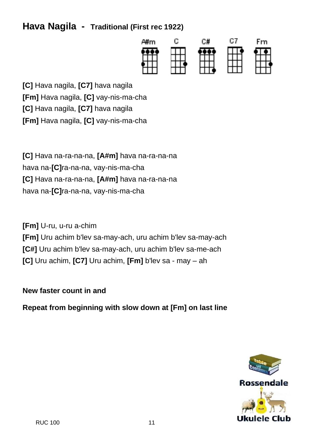# **Hava Nagila - Traditional (First rec 1922)**



<span id="page-11-0"></span>**[C]** Hava nagila, **[C7]** hava nagila **[Fm]** Hava nagila, **[C]** vay-nis-ma-cha **[C]** Hava nagila, **[C7]** hava nagila **[Fm]** Hava nagila, **[C]** vay-nis-ma-cha

**[C]** Hava na-ra-na-na, **[A#m]** hava na-ra-na-na hava na-**[C]**ra-na-na, vay-nis-ma-cha **[C]** Hava na-ra-na-na, **[A#m]** hava na-ra-na-na hava na-**[C]**ra-na-na, vay-nis-ma-cha

**[Fm]** U-ru, u-ru a-chim **[Fm]** Uru achim b'lev sa-may-ach, uru achim b'lev sa-may-ach **[C#]** Uru achim b'lev sa-may-ach, uru achim b'lev sa-me-ach **[C]** Uru achim, **[C7]** Uru achim, **[Fm]** b'lev sa - may – ah

**New faster count in and**

**Repeat from beginning with slow down at [Fm] on last line**

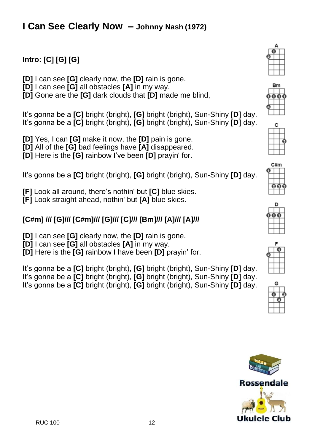# **I Can See Clearly Now – Johnny Nash (1972)**

# <span id="page-12-0"></span>**Intro: [C] [G] [G]**

**[D]** I can see **[G]** clearly now, the **[D]** rain is gone. **[D]** I can see **[G]** all obstacles **[A]** in my way.

**[D]** Gone are the **[G]** dark clouds that **[D]** made me blind,

It's gonna be a **[C]** bright (bright), **[G]** bright (bright), Sun-Shiny **[D]** day. It's gonna be a **[C]** bright (bright), **[G]** bright (bright), Sun-Shiny **[D]** day.

**[D]** Yes, I can **[G]** make it now, the **[D]** pain is gone. **[D]** All of the **[G]** bad feelings have **[A]** disappeared. **[D]** Here is the **[G]** rainbow I've been **[D]** prayin' for.

It's gonna be a **[C]** bright (bright), **[G]** bright (bright), Sun-Shiny **[D]** day.

**[F]** Look all around, there's nothin' but **[C]** blue skies. **[F]** Look straight ahead, nothin' but **[A]** blue skies.

#### **[C#m] /// [G]/// [C#m]/// [G]/// [C]/// [Bm]/// [A]/// [A]///**

**[D]** I can see **[G]** clearly now, the **[D]** rain is gone.

**[D]** I can see **[G]** all obstacles **[A]** in my way.

**[D]** Here is the **[G]** rainbow I have been **[D]** prayin' for.

It's gonna be a **[C]** bright (bright), **[G]** bright (bright), Sun-Shiny **[D]** day. It's gonna be a **[C]** bright (bright), **[G]** bright (bright), Sun-Shiny **[D]** day. It's gonna be a **[C]** bright (bright), **[G]** bright (bright), Sun-Shiny **[D]** day.













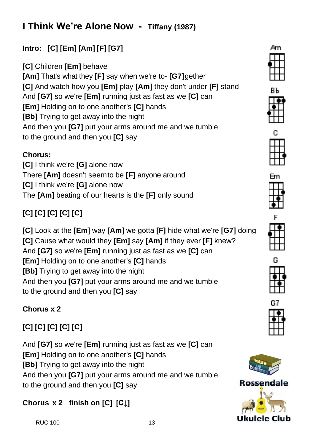# **I Think We're Alone Now - Tiffany (1987)**

# <span id="page-13-0"></span>**Intro: [C] [Em] [Am] [F] [G7]**

**[C]** Children **[Em]** behave **[Am]** That's what they **[F]** say when we're to- **[G7]**gether **[C]** And watch how you **[Em]** play **[Am]** they don't under **[F]** stand And **[G7]** so we're **[Em]** running just as fast as we **[C]** can **[Em]** Holding on to one another's **[C]** hands **[Bb]** Trying to get away into the night And then you **[G7]** put your arms around me and we tumble to the ground and then you **[C]** say

#### **Chorus:**

**[C]** I think we're **[G]** alone now There **[Am]** doesn't seemto be **[F]** anyone around **[C]** I think we're **[G]** alone now The **[Am]** beating of our hearts is the **[F]** only sound

# **[C] [C] [C] [C] [C]**

**[C]** Look at the **[Em]** way **[Am]** we gotta **[F]** hide what we're **[G7]** doing **[C]** Cause what would they **[Em]** say **[Am]** if they ever **[F]** knew? And **[G7]** so we're **[Em]** running just as fast as we **[C]** can **[Em]** Holding on to one another's **[C]** hands **[Bb]** Trying to get away into the night And then you **[G7]** put your arms around me and we tumble to the ground and then you **[C]** say

# **Chorus x 2**

# **[C] [C] [C] [C] [C]**

And **[G7]** so we're **[Em]** running just as fast as we **[C]** can **[Em]** Holding on to one another's **[C]** hands **[Bb]** Trying to get away into the night And then you **[G7]** put your arms around me and we tumble to the ground and then you **[C]** say

# **Chorus x 2 finish on [C] [C↓]**

















RUC 100 13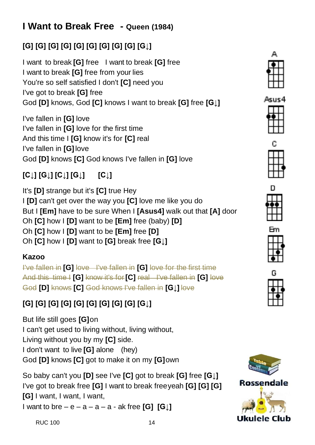# **I Want to Break Free - Queen (1984)**

# <span id="page-14-0"></span>**[G] [G] [G] [G] [G] [G] [G] [G] [G] [G↓]**

I want to break **[G]** free I want to break **[G]** free I want to break **[G]** free from your lies You're so self satisfied I don't **[C]** need you I've got to break **[G]** free God **[D]** knows, God **[C]** knows I want to break **[G]** free **[G↓]**

I've fallen in **[G]** love I've fallen in **[G]** love for the first time And this time I **[G]** know it's for **[C]** real I've fallen in **[G]**love God **[D]** knows **[C]** God knows I've fallen in **[G]** love

# **[C↓] [G↓] [C↓] [G↓] [C↓]**

It's **[D]** strange but it's **[C]** true Hey I **[D]** can't get over the way you **[C]** love me like you do But I **[Em]** have to be sure When I **[Asus4]** walk out that **[A]** door Oh **[C]** how I **[D]** want to be **[Em]** free (baby) **[D]** Oh **[C]** how I **[D]** want to be **[Em]** free **[D]** Oh **[C]** how I **[D]** want to **[G]** break free **[G↓]**

# **Kazoo**

I've fallen in **[G]** love I've fallen in **[G]** love for the first time And this time I **[G]** know it's for**[C]** real I've fallen in **[G]** love God **[D]** knows **[C]** God knows I've fallen in **[G↓]** love

# **[G] [G] [G] [G] [G] [G] [G] [G] [G] [G↓]**

But life still goes **[G]**on I can't get used to living without, living without, Living without you by my **[C]** side. I don't want to live **[G]** alone (hey) God **[D]** knows **[C]** got to make it on my **[G]**own

So baby can't you **[D]** see I've **[C]** got to break **[G]** free **[G↓]** I've got to break free **[G]** I want to break freeyeah **[G] [G] [G] [G]** I want, I want, I want,

I want to bre  $-$  e  $-$  a  $-$  a  $-$  a  $-$  ak free **[G]** [G<sub><sup>1</sub>]</sup></sub>













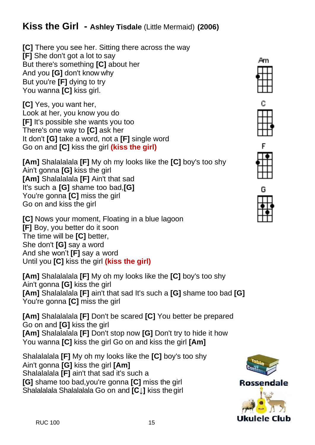# **Kiss the Girl - Ashley Tisdale** (Little Mermaid) **(2006)**

<span id="page-15-0"></span>**[C]** There you see her. Sitting there across the way **[F]** She don't got a lot to say But there's something **[C]** about her And you **[G]** don't know why But you're **[F]** dying to try You wanna **[C]** kiss girl.

**[C]** Yes, you want her, Look at her, you know you do **[F]** It's possible she wants you too There's one way to **[C]** ask her It don't **[G]** take a word, not a **[F]** single word Go on and **[C]** kiss the girl **(kiss the girl)**

**[Am]** Shalalalala **[F]** My oh my looks like the **[C]** boy's too shy Ain't gonna **[G]** kiss the girl **[Am]** Shalalalala **[F]** Ain't that sad It's such a **[G]** shame too bad,**[G]**  You're gonna **[C]** miss the girl Go on and kiss the girl

**[C]** Nows your moment, Floating in a blue lagoon **[F]** Boy, you better do it soon The time will be **[C]** better, She don't **[G]** say a word And she won't **[F]** say a word Until you **[C]** kiss the girl **(kiss the girl)**

**[Am]** Shalalalala **[F]** My oh my looks like the **[C]** boy's too shy Ain't gonna **[G]** kiss the girl **[Am]** Shalalalala **[F]** ain't that sad It's such a **[G]** shame too bad **[G]** You're gonna **[C]** miss the girl

**[Am]** Shalalalala **[F]** Don't be scared **[C]** You better be prepared Go on and **[G]** kiss the girl **[Am]** Shalalalala **[F]** Don't stop now **[G]** Don't try to hide it how You wanna **[C]** kiss the girl Go on and kiss the girl **[Am]**

Shalalalala **[F]** My oh my looks like the **[C]** boy's too shy Ain't gonna **[G]** kiss the girl **[Am]** Shalalalala **[F]** ain't that sad it's such a **[G]** shame too bad,you're gonna **[C]** miss the girl Shalalalala Shalalalala Go on and **[C↓]** kiss thegirl









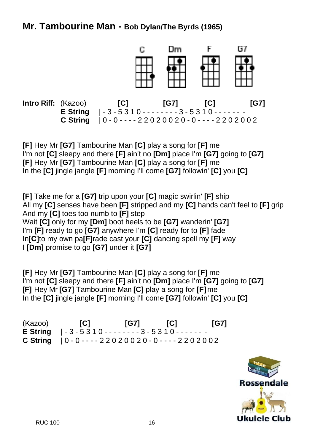# **Mr. Tambourine Man - Bob Dylan/The Byrds (1965)**



<span id="page-16-0"></span>**[F]** Hey Mr **[G7]** Tambourine Man **[C]** play a song for **[F]** me I'm not **[C]** sleepy and there **[F]** ain't no **[Dm]** place I'm **[G7]** going to **[G7] [F]** Hey Mr **[G7]** Tambourine Man **[C]** play a song for **[F]** me In the **[C]** jingle jangle **[F]** morning I'll come **[G7]** followin' **[C]** you **[C]**

**[F]** Take me for a **[G7]** trip upon your **[C]** magic swirlin' **[F]** ship All my **[C]** senses have been **[F]** stripped and my **[C]** hands can't feel to **[F]** grip And my **[C]** toes too numb to **[F]** step Wait **[C]** only for my **[Dm]** boot heels to be **[G7]** wanderin' **[G7]** I'm **[F]** ready to go **[G7]** anywhere I'm **[C]** ready for to **[F]** fade In**[C]**to my own pa**[F]**rade cast your **[C]** dancing spell my **[F]** way I **[Dm]** promise to go **[G7]** under it **[G7]**

**[F]** Hey Mr **[G7]** Tambourine Man **[C]** play a song for **[F]** me I'm not **[C]** sleepy and there **[F]** ain't no **[Dm]** place I'm **[G7]** going to **[G7] [F]** Hey Mr **[G7]** Tambourine Man **[C]** play a song for **[F]**me In the **[C]** jingle jangle **[F]** morning I'll come **[G7]** followin' **[C]** you **[C]**

(Kazoo) **[C] [G7] [C] [G7] E String** | - 3 - 5 3 1 0 - - - - - - - - 3 - 5 3 1 0 - - - - - - - **C String** | 0 - 0 - - - - 2 2 0 2 0 0 2 0 - 0 - - - - 2 2 0 2 0 0 2

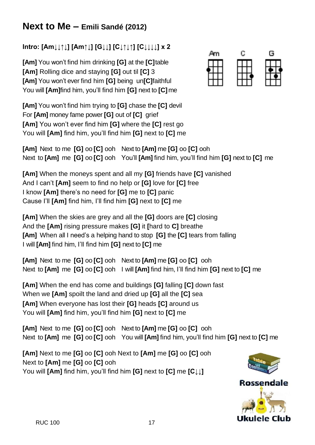# **Next to Me – Emili Sandé (2012)**

<span id="page-17-0"></span>**Intro: [Am↓↓↑↓] [Am↑↓] [G↓↓] [C↓↑↓↑] [C↓↓↓↓] x 2**

**[Am]** You won't find him drinking **[G]** at the **[C]**table **[Am]** Rolling dice and staying **[G]** out til **[C]** 3 **[Am]** You won't ever find him **[G]** being un**[C]**faithful You will **[Am]**find him, you'll find him **[G]** next to **[C]** me

**[Am]** You won't find him trying to **[G]** chase the **[C]** devil For **[Am]** money fame power **[G]** out of **[C]** grief **[Am]** You won't ever find him **[G]** where the **[C]** rest go You will **[Am]** find him, you'll find him **[G]** next to **[C]** me



**[Am]** Next to me **[G]** oo **[C]** ooh Next to **[Am]** me **[G]** oo **[C]** ooh Next to **[Am]** me **[G]** oo **[C]** ooh You'll **[Am]** find him, you'll find him **[G]** next to **[C]** me

**[Am]** When the moneys spent and all my **[G]** friends have **[C]** vanished And I can't **[Am]** seem to find no help or **[G]** love for **[C]** free I know **[Am]** there's no need for **[G]** me to **[C]** panic Cause I'll **[Am]** find him, I'll find him **[G]** next to **[C]** me

**[Am]** When the skies are grey and all the **[G]** doors are **[C]** closing And the **[Am]** rising pressure makes **[G]** it **[**hard to **C]** breathe **[Am]** When all I need's a helping hand to stop **[G]** the **[C]** tears from falling I will **[Am]** find him, I'll find him **[G]** next to **[C]** me

**[Am]** Next to me **[G]** oo **[C]** ooh Next to **[Am]** me **[G]** oo **[C]** ooh Next to **[Am]** me **[G]** oo **[C]** ooh I will **[Am]** find him, I'll find him **[G]** next to **[C]** me

**[Am]** When the end has come and buildings **[G]** falling **[C]** down fast When we **[Am]** spoilt the land and dried up **[G]** all the **[C]** sea **[Am]** When everyone has lost their **[G]** heads **[C]** around us You will **[Am]** find him, you'll find him **[G]** next to **[C]** me

**[Am]** Next to me **[G]** oo **[C]** ooh Next to **[Am]** me **[G]** oo **[C]** ooh Next to **[Am]** me **[G]** oo **[C]** ooh You will **[Am]** find him, you'll find him **[G]** next to **[C]** me

**[Am]** Next to me **[G]** oo **[C]** ooh Next to **[Am]** me **[G]** oo **[C]** ooh Next to **[Am]** me **[G]** oo **[C]** ooh You will **[Am]** find him, you'll find him **[G]** next to **[C]** me **[C↓↓]**

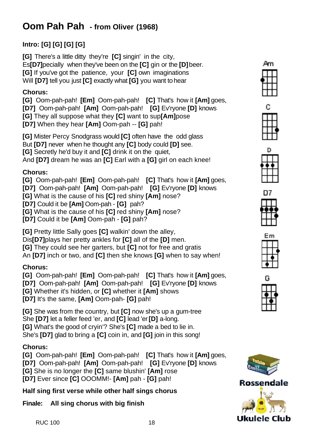# **Oom Pah Pah - from Oliver (1968)**

#### <span id="page-18-0"></span>**Intro: [G] [G] [G] [G]**

**[G]** There's a little ditty they're **[C]** singin' in the city, Es**[D7]**pecially when they've been on the **[C]** gin or the **[D]**beer. **[G]** If you've got the patience, your **[C]** own imaginations Will **[D7]** tell you just **[C]** exactly what **[G]** you want to hear

#### **Chorus:**

**[G]** Oom-pah-pah! **[Em]** Oom-pah-pah! **[C]** That's how it **[Am]** goes, **[D7]** Oom-pah-pah! **[Am]** Oom-pah-pah! **[G]** Ev'ryone **[D]** knows

**[G]** They all suppose what they **[C]** want to sup**[Am]**pose

**[D7]** When they hear **[Am]** Oom-pah -- **[G]** pah!

**[G]** Mister Percy Snodgrass would **[C]** often have the odd glass But **[D7]** never when he thought any **[C]** body could **[D]** see. **[G]** Secretly he'd buy it and **[C]** drink it on the quiet, And **[D7]** dream he was an **[C]** Earl with a **[G]** girl on each knee!

#### **Chorus:**

**[G]** Oom-pah-pah! **[Em]** Oom-pah-pah! **[C]** That's how it **[Am]** goes,

**[D7]** Oom-pah-pah! **[Am]** Oom-pah-pah! **[G]** Ev'ryone **[D]** knows

**[G]** What is the cause of his **[C]** red shiny **[Am]** nose?

**[D7]** Could it be **[Am]** Oom-pah - **[G]** pah?

**[G]** What is the cause of his **[C]** red shiny **[Am]** nose?

**[D7]** Could it be **[Am]** Oom-pah - **[G]** pah?

**[G]** Pretty little Sally goes **[C]** walkin' down the alley,

Dis**[D7]**plays her pretty ankles for **[C]** all of the **[D]** men.

**[G]** They could see her garters, but **[C]** not for free and gratis An **[D7]** inch or two, and **[C]** then she knows **[G]** when to say when!

#### **Chorus:**

**[G]** Oom-pah-pah! **[Em]** Oom-pah-pah! **[C]** That's how it **[Am]** goes, **[D7]** Oom-pah-pah! **[Am]** Oom-pah-pah! **[G]** Ev'ryone **[D]** knows **[G]** Whether it's hidden, or **[C]** whether it **[Am]** shows **[D7]** It's the same, **[Am]** Oom-pah- **[G]** pah!

**[G]** She was from the country, but **[C]** now she's up a gum-tree She **[D7]** let a feller feed 'er, and **[C]** lead 'er**[D]** a-long. **[G]** What's the good of cryin'? She's **[C]** made a bed to lie in. She's **[D7]** glad to bring a **[C]** coin in, and **[G]** join in this song!

#### **Chorus:**

**[G]** Oom-pah-pah! **[Em]** Oom-pah-pah! **[C]** That's how it **[Am]** goes, **[D7]** Oom-pah-pah! **[Am]** Oom-pah-pah! **[G]** Ev'ryone **[D]** knows **[G]** She is no longer the **[C]** same blushin' **[Am]** rose **[D7]** Ever since **[C]** OOOMM!- **[Am]** pah - **[G]** pah!

#### **Half sing first verse while other half sings chorus**

**Finale: All sing chorus with big finish**













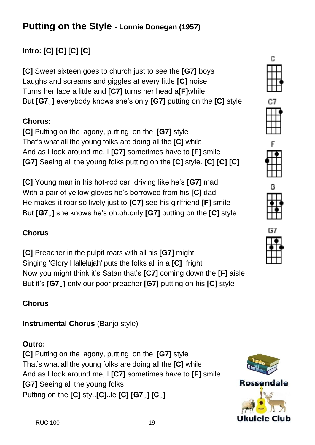# **Putting on the Style - Lonnie Donegan (1957)**

# <span id="page-19-0"></span>**Intro: [C] [C] [C] [C]**

**[C]** Sweet sixteen goes to church just to see the **[G7]** boys Laughs and screams and giggles at every little **[C]** noise Turns her face a little and **[C7]** turns her head a**[F]**while But **[G7↓]** everybody knows she's only **[G7]** putting on the **[C]** style

#### **Chorus:**

**[C]** Putting on the agony, putting on the **[G7]** style That's what all the young folks are doing all the **[C]** while And as I look around me, I **[C7]** sometimes have to **[F]** smile **[G7]** Seeing all the young folks putting on the **[C]** style. **[C] [C] [C]**

**[C]** Young man in his hot-rod car, driving like he's **[G7]** mad With a pair of yellow gloves he's borrowed from his **[C]** dad He makes it roar so lively just to **[C7]** see his girlfriend **[F]** smile But **[G7↓]** she knows he's oh.oh.only **[G7]** putting on the **[C]** style

#### **Chorus**

**[C]** Preacher in the pulpit roars with all his **[G7]** might Singing 'Glory Hallelujah' puts the folks all in a **[C]** fright Now you might think it's Satan that's **[C7]** coming down the **[F]** aisle But it's **[G7↓]** only our poor preacher **[G7]** putting on his **[C]** style

#### **Chorus**

**Instrumental Chorus** (Banjo style)

#### **Outro:**

Putting on the **[C]** sty..**[C]..**le **[C] [G7↓] [C↓] [C]** Putting on the agony, putting on the **[G7]** style That's what all the young folks are doing all the **[C]** while And as I look around me, I **[C7]** sometimes have to **[F]** smile **[G7]** Seeing all the young folks











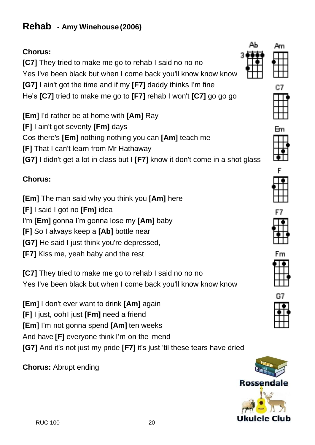# **Rehab - Amy Winehouse (2006)**

#### <span id="page-20-0"></span>**Chorus:**

**[C7]** They tried to make me go to rehab I said no no no Yes I've been black but when I come back you'll know know know

**[G7]** I ain't got the time and if my **[F7]** daddy thinks I'm fine

He's **[C7]** tried to make me go to **[F7]** rehab I won't **[C7]** go go go

**[Em]** I'd rather be at home with **[Am]** Ray **[F]** I ain't got seventy **[Fm]** days Cos there's **[Em]** nothing nothing you can **[Am]** teach me **[F]** That I can't learn from Mr Hathaway **[G7]** I didn't get a lot in class but I **[F7]** know it don't come in a shot glass

#### **Chorus:**

**[Em]** The man said why you think you **[Am]** here **[F]** I said I got no **[Fm]** idea I'm **[Em]** gonna I'm gonna lose my **[Am]** baby **[F]** So I always keep a **[Ab]** bottle near **[G7]** He said I just think you're depressed, **[F7]** Kiss me, yeah baby and the rest

**[C7]** They tried to make me go to rehab I said no no no Yes I've been black but when I come back you'll know know know

**[Em]** I don't ever want to drink **[Am]** again **[F]** I just, oohI just **[Fm]** need a friend **[Em]** I'm not gonna spend **[Am]** ten weeks And have **[F]** everyone think I'm on the mend **[G7]** And it's not just my pride **[F7]** it's just 'til these tears have dried

**Chorus:** Abrupt ending













| п<br>Ĉ |  |  |  |  |
|--------|--|--|--|--|
|        |  |  |  |  |
|        |  |  |  |  |
|        |  |  |  |  |

1 | 1 |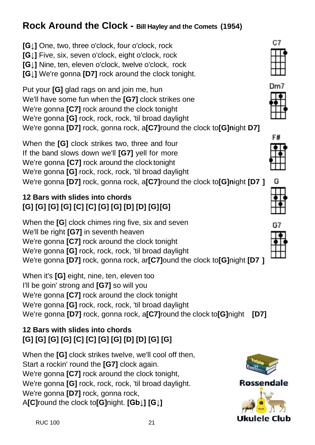# <span id="page-21-0"></span>**Rock Around the Clock - Bill Hayley and the Comets (1954)**

**[G**<sup> $\parallel$ </sup>] One, two, three o'clock, four o'clock, rock

**[G↓]** Five, six, seven o'clock, eight o'clock, rock

**[G↓]** Nine, ten, eleven o'clock, twelve o'clock, rock

**[G↓]** We're gonna **[D7]** rock around the clock tonight.

Put your **[G]** glad rags on and join me, hun We'll have some fun when the **[G7]** clock strikes one We're gonna **[C7]** rock around the clock tonight We're gonna **[G]** rock, rock, rock, 'til broad daylight We're gonna **[D7]** rock, gonna rock, a**[C7]**round the clock to**[G]n**ight **D7]**

**]** We're gonna **[D7]** rock, gonna rock, a**[C7]**round the clock to**[G]n**ight **[D7** When the **[G]** clock strikes two, three and four If the band slows down we'll **[G7]** yell for more We're gonna **[C7]** rock around the clock tonight We're gonna **[G]** rock, rock, rock, 'til broad daylight

### **12 Bars with slides into chords [G] [G] [G] [G] [C] [C] [G] [G] [D] [D] [G][G]**

**]** We're gonna **[D7]** rock, gonna rock, ar**[C7]**ound the clock to**[G]**night **[D7** When the **[G**] clock chimes ring five, six and seven We'll be right **[G7]** in seventh heaven We're gonna **[C7]** rock around the clock tonight We're gonna **[G]** rock, rock, rock, 'til broad daylight

When it's **[G]** eight, nine, ten, eleven too I'll be goin' strong and **[G7]** so will you We're gonna **[C7]** rock around the clock tonight We're gonna **[G]** rock, rock, rock, 'til broad daylight We're gonna **[D7]** rock, gonna rock, a**[C7]**round the clock to**[G]**night **[D7]**

# **12 Bars with slides into chords [G] [G] [G] [G] [C] [C] [G] [G] [D] [D] [G] [G]**

When the **[G]** clock strikes twelve, we'll cool off then, Start a rockin' round the **[G7]** clock again. We're gonna **[C7]** rock around the clock tonight, We're gonna **[G]** rock, rock, rock, 'til broad daylight. We're gonna **[D7]** rock, gonna rock, A**[C]**round the clock to**[G]**night. **[Gb↓] [G↓]**





Dm 7





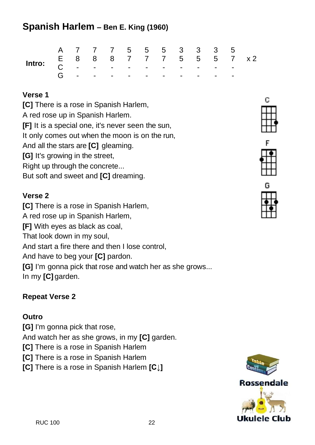# **Spanish Harlem – Ben E. King (1960)**

<span id="page-22-0"></span>

|                                  |  |  |  |  | A 7 7 7 5 5 5 3 3 3 5 |  |
|----------------------------------|--|--|--|--|-----------------------|--|
| Intro: E 8 8 8 7 7 7 5 5 5 7 x 2 |  |  |  |  | G                     |  |

#### **Verse 1**

**[C]** There is a rose in Spanish Harlem, A red rose up in Spanish Harlem. **[F]** It is a special one, it's never seen the sun, It only comes out when the moon is on the run, And all the stars are **[C]** gleaming. **[G]** It's growing in the street, Right up through the concrete... But soft and sweet and **[C]** dreaming.

#### **Verse 2**

**[C]** There is a rose in Spanish Harlem, A red rose up in Spanish Harlem, **[F]** With eyes as black as coal, That look down in my soul, And start a fire there and then I lose control, And have to beg your **[C]** pardon. **[G]** I'm gonna pick that rose and watch her as she grows... In my **[C]** garden.

#### **Repeat Verse 2**

#### **Outro**

**[G]** I'm gonna pick that rose, And watch her as she grows, in my **[C]** garden. **[C]** There is a rose in Spanish Harlem **[C]** There is a rose in Spanish Harlem **[C]** There is a rose in Spanish Harlem **[C↓]**



O

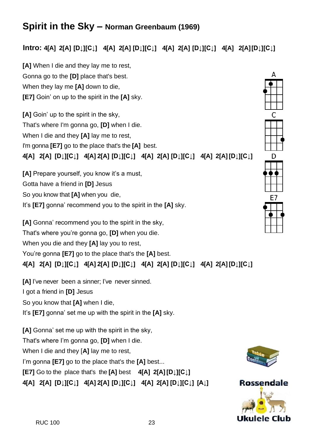# **Spirit in the Sky – Norman Greenbaum (1969)**

#### <span id="page-23-0"></span>**Intro: 4[A] 2[A] [D↓][C↓] 4[A] 2[A] [D↓][C↓] 4[A] 2[A] [D↓][C↓] 4[A] 2[A][D↓][C↓]**

**[A]** When I die and they lay me to rest, Gonna go to the **[D]** place that's best. When they lay me **[A]** down to die, **[E7]** Goin' on up to the spirit in the **[A]** sky.

**[A]** Goin' up to the spirit in the sky, That's where I'm gonna go, **[D]** when I die. When I die and they **[A]** lay me to rest, I'm gonna **[E7]** go to the place that's the **[A]** best. **4[A] 2[A] [D↓][C↓] 4[A] 2[A] [D↓][C↓] 4[A] 2[A] [D↓][C↓] 4[A] 2[A][D↓][C↓]**

**[A]** Prepare yourself, you know it's a must, Gotta have a friend in **[D]** Jesus So you know that **[A]** when you die, It's **[E7]** gonna' recommend you to the spirit in the **[A]** sky.

**[A]** Gonna' recommend you to the spirit in the sky, That's where you're gonna go, **[D]** when you die. When you die and they **[A]** lay you to rest, You're gonna **[E7]** go to the place that's the **[A]** best. **4[A] 2[A] [D↓][C↓] 4[A] 2[A] [D↓][C↓] 4[A] 2[A] [D↓][C↓] 4[A] 2[A][D↓][C↓]**

[A] I've never been a sinner; I've never sinned. I got a friend in **[D]** Jesus So you know that **[A]** when I die,

It's **[E7]** gonna' set me up with the spirit in the **[A]** sky.

**[A]** Gonna' set me up with the spirit in the sky, That's where I'm gonna go, **[D]** when I die. When I die and they [**A]** lay me to rest, I'm gonna **[E7]** go to the place that's the **[A]** best... **[E7]** Go to the place that's the **[A]** best **4[A] 2[A][D↓][C↓]**

**4[A] 2[A] [D↓][C↓] 4[A] 2[A] [D↓][C↓] 4[A] 2[A] [D↓][C↓] [A↓]**





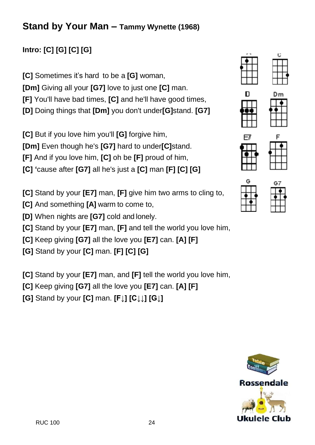# **Stand by Your Man – Tammy Wynette (1968)**

# <span id="page-24-0"></span>**Intro: [C] [G] [C] [G]**

**[C]** Sometimes it's hard to be a **[G]** woman, **[Dm]** Giving all your **[G7]** love to just one **[C]** man. **[F]** You'll have bad times, **[C]** and he'll have good times, **[D]** Doing things that **[Dm]** you don't under**[G]**stand. **[G7]**

**[C]** But if you love him you'll **[G]** forgive him,

**[Dm]** Even though he's **[G7]** hard to under**[C]**stand.

**[F]** And if you love him, **[C]** oh be **[F]** proud of him,

**[C] '**cause after **[G7]** all he's just a **[C]** man **[F] [C] [G]**

- **[C]** Stand by your **[E7]** man, **[F]** give him two arms to cling to,
- **[C]** And something **[A]** warm to come to,
- **[D]** When nights are **[G7]** cold and lonely.
- **[C]** Stand by your **[E7]** man, **[F]** and tell the world you love him,
- **[C]** Keep giving **[G7]** all the love you **[E7]** can. **[A] [F]**
- **[G]** Stand by your **[C]** man. **[F] [C] [G]**
- **[C]** Stand by your **[E7]** man, and **[F]** tell the world you love him,
- **[C]** Keep giving **[G7]** all the love you **[E7]** can. **[A] [F]**
- **[G]** Stand by your **[C]** man. **[F↓] [C↓↓] [G↓]**











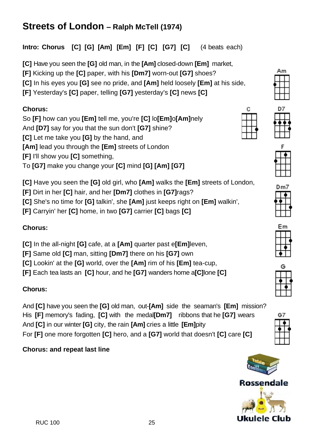# **Streets of London – Ralph McTell (1974)**

<span id="page-25-0"></span>**Intro: Chorus [C] [G] [Am] [Em] [F] [C] [G7] [C]** (4 beats each)

**[C]** Have you seen the **[G]** old man, in the **[Am]** closed-down **[Em]** market,

**[F]** Kicking up the **[C]** paper, with his **[Dm7]** worn-out **[G7]** shoes?

**[C]** In his eyes you **[G]** see no pride, and **[Am]** held loosely **[Em]** at his side,

**[F]** Yesterday's **[C]** paper, telling **[G7]** yesterday's **[C]** news **[C]**

#### **Chorus:**

So **[F]** how can you **[Em]** tell me, you're **[C]** lo**[Em]**o**[Am]**nely

And **[D7]** say for you that the sun don't **[G7]** shine?

**[C]** Let me take you **[G]** by the hand, and

**[Am]** lead you through the **[Em]** streets of London

**[F]** I'll show you **[C]** something,

To **[G7]** make you change your **[C]** mind **[G] [Am] [G7]**

**[C]** Have you seen the **[G]** old girl, who **[Am]** walks the **[Em]** streets of London,

**[F]** Dirt in her **[C]** hair, and her **[Dm7]** clothes in **[G7]**rags?

**[C]** She's no time for **[G]** talkin', she **[Am]** just keeps right on **[Em]** walkin',

**[F]** Carryin' her **[C]** home, in two **[G7]** carrier **[C]** bags **[C]** 

#### **Chorus:**

**[C]** In the all-night **[G]** cafe, at a **[Am]** quarter past e**[Em]**leven,

- **[F]** Same old **[C]** man, sitting **[Dm7]** there on his **[G7]** own
- **[C]** Lookin' at the **[G]** world, over the **[Am]** rim of his **[Em]** tea-cup,

**[F]** Each tea lasts an **[C]** hour, and he **[G7]** wanders home a**[C]**lone **[C]** 

#### **Chorus:**

And **[C]** have you seen the **[G]** old man, out-**[Am]** side the seaman's **[Em]** mission? His **[F]** memory's fading, **[C]** with the medal**[Dm7]** ribbons that he **[G7]** wears And **[C]** in our winter **[G]** city, the rain **[Am]** cries a little **[Em]**pity For **[F]** one more forgotten **[C]** hero, and a **[G7]** world that doesn't **[C]** care **[C]**

#### **Chorus: and repeat last line**



| m, |  |  |  |  |  |
|----|--|--|--|--|--|
|    |  |  |  |  |  |
|    |  |  |  |  |  |
|    |  |  |  |  |  |
|    |  |  |  |  |  |





| ë |  |  |  |  |
|---|--|--|--|--|
|   |  |  |  |  |
|   |  |  |  |  |
|   |  |  |  |  |
|   |  |  |  |  |





Am

D7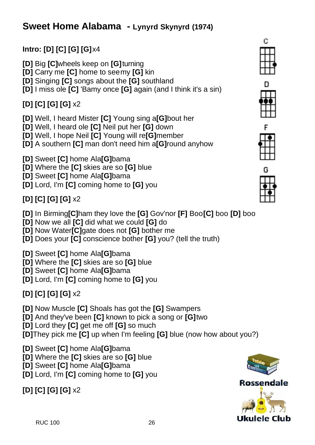# **Sweet Home Alabama - Lynyrd Skynyrd (1974)**

# <span id="page-26-0"></span>**Intro: [D] [C] [G] [G]**x4

- **[D]** Big **[C]**wheels keep on **[G]**turning
- **[D]** Carry me **[C]** home to seemy **[G]** kin
- **[D]** Singing **[C]** songs about the **[G]** southland
- **[D]** I miss ole **[C]** 'Bamy once **[G]** again (and I think it's a sin)

# **[D] [C] [G] [G]** x2

- **[D]** Well, I heard Mister **[C]** Young sing a**[G]**bout her
- **[D]** Well, I heard ole **[C]** Neil put her **[G]** down
- **[D]** Well, I hope Neil **[C]** Young will re**[G]**member
- **[D]** A southern **[C]** man don't need him a**[G]**round anyhow
- **[D]** Sweet **[C]** home Ala**[G]**bama
- **[D]** Where the **[C]** skies are so **[G]** blue
- **[D]** Sweet **[C]** home Ala**[G]**bama
- **[D]** Lord, I'm **[C]** coming home to **[G]** you

# **[D] [C] [G] [G]** x2

- **[D]** In Birming**[C]**ham they love the **[G]** Gov'nor **[F]** Boo**[C]** boo **[D]** boo
- **[D]** Now we all **[C]** did what we could **[G]** do
- **[D]** Now Water**[C]**gate does not **[G]** bother me
- **[D]** Does your **[C]** conscience bother **[G]** you? (tell the truth)
- **[D]** Sweet **[C]** home Ala**[G]**bama
- **[D]** Where the **[C]** skies are so **[G]** blue
- **[D]** Sweet **[C]** home Ala**[G]**bama
- **[D]** Lord, I'm **[C]** coming home to **[G]** you

# **[D] [C] [G] [G]** x2

- **[D]** Now Muscle **[C]** Shoals has got the **[G]** Swampers
- **[D]** And they've been **[C]** known to pick a song or **[G]**two
- **[D]** Lord they **[C]** get me off **[G]** so much
- **[D]**They pick me **[C]** up when I'm feeling **[G]** blue (now how about you?)
- **[D]** Sweet **[C]** home Ala**[G]**bama
- **[D]** Where the **[C]** skies are so **[G]** blue
- **[D]** Sweet **[C]** home Ala**[G]**bama
- **[D]** Lord, I'm **[C]** coming home to **[G]** you

**[D] [C] [G] [G]** x2









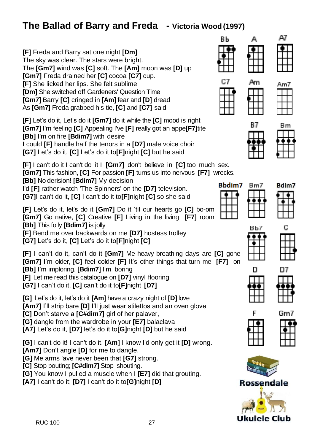# <span id="page-27-0"></span>**The Ballad of Barry and Freda - Victoria Wood (1997)**

**[F]** Freda and Barry sat one night **[Dm]** The sky was clear. The stars were bright. The **[Gm7]** wind was **[C]** soft. The **[Am]** moon was **[D]** up **[Gm7]** Freda drained her **[C]** cocoa **[C7]** cup. **[F]** She licked her lips. She felt sublime **[Dm]** She switched off Gardeners' Question Time **[Gm7]** Barry **[C]** cringed in **[Am]** fear and **[D]** dread As **[Gm7]** Freda grabbed his tie, **[C]** and **[C7]** said

**[F]** Let's do it, Let's do it **[Gm7]** do it while the **[C]** mood is right **[Gm7]** I'm feeling **[C]** Appealing I've **[F]** really got an appe**[F7]**tite **[Bb]** I'm on fire **[Bdim7]** with desire I could **[F]** handle half the tenors in a **[D7]** male voice choir **[G7]** Let's do it, **[C]** Let's do it to**[F]**night **[C]** but he said

**[F]** I can't do it I can't do it I **[Gm7]** don't believe in **[C]** too much sex. **[Gm7]** This fashion, **[C]** For passion **[F]** turns us into nervous **[F7]** wrecks.

**[Bb]** No derision! **[Bdim7]** My decision

I'd **[F]** rather watch 'The Spinners' on the **[D7]** television. **[G7]**I can't do it, **[C]** I can't do it to**[F]**night **[C]** so she said

**[F]** Let's do it, let's do it **[Gm7]** Do it 'til our hearts go **[C]** bo-om **[Gm7]** Go native, **[C]** Creative **[F]** Living in the living **[F7]** room **[Bb]** This folly **[Bdim7]** is jolly **[F]** Bend me over backwards on me **[D7]** hostess trolley

**[G7]** Let's do it, **[C]** Let's do it to**[F]**night **[C]**

**[F]** I can't do it, can't do it **[Gm7]** Me heavy breathing days are **[C]** gone **[Gm7]** I'm older, **[C]** feel colder **[F]** It's other things that turn me **[F7]** on **[Bb]** I'm imploring, **[Bdim7]** I'm boring **[F]** Let me read this catalogue on **[D7]** vinyl flooring

**[G7]** I can't do it, **[C]** can't do it to**[F]**night **[D7]**

**[G]** Let's do it, let's do it **[Am]** have a crazy night of **[D]** love

**[Am7]** I'll strip bare **[D]** I'll just wear stilettos and an oven glove

**[C]** Don't starve a **[C#dim7]** girl of her palaver,

**[G]** dangle from the wardrobe in your **[E7]** balaclava

**[A7]** Let's do it, **[D7]** let's do it to**[G]**night **[D]** but he said

**[G]** I can't do it! I can't do it. **[Am]** I know I'd only get it **[D]** wrong.

**[Am7]** Don't angle **[D]** for me to dangle.

**[G]** Me arms 'ave never been that **[G7]** strong.

**[C]** Stop pouting; **[C#dim7]** Stop shouting.

**[G]** You know I pulled a muscle when I **[E7]** did that grouting.

**[A7]** I can't do it; **[D7]** I can't do it to**[G]**night **[D]**



A



 $AmZ$ 









| Bdim7 |  |  |  |  |
|-------|--|--|--|--|
|       |  |  |  |  |
|       |  |  |  |  |
|       |  |  |  |  |
|       |  |  |  |  |

C









Gm7









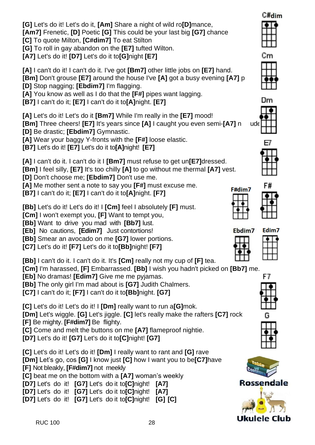**[C]** To quote Milton, **[C#dim7]** To eat Stilton **[G]** To roll in gay abandon on the **[E7]** tufted Wilton. **[A7]** Let's do it! **[D7]** Let's do it to**[G]**night **[E7] [A]** I can't do it! I can't do it. I've got **[Bm7]** other little jobs on **[E7]** hand. **[Bm]** Don't grouse **[E7]** around the house I've **[A]** got a busy evening **[A7]** p **[D]** Stop nagging; **[Ebdim7]** I'm flagging. **[A]** You know as well as I do that the **[F#]** pipes want lagging. **[B7]** I can't do it; **[E7]** I can't do it to**[A]**night. **[E7] [A]** Let's do it! Let's do it **[Bm7]** While I'm really in the **[E7]** mood! **[Bm]** Three cheers! **[E7]** It's years since **[A]** I caught you even semi-**[A7]** n **[D]** Be drastic; **[Ebdim7]** Gymnastic. **[A]** Wear your baggy Y-fronts with the **[F#]** loose elastic. **[B7]** Let's do it! **[E7]** Let's do it to**[A]**night! **[E7] [A]** I can't do it. I can't do it I **[Bm7]** must refuse to get un**[E7]**dressed. **[Bm]** I feel silly, **[E7]** It's too chilly **[A]** to go without me thermal **[A7]** vest. **[D]** Don't choose me; **[Ebdim7]** Don't use me. **[A]** Me mother sent a note to say you **[F#]** must excuse me. **[B7]** I can't do it; **[E7]** I can't do it to**[A]**night. **[F7] [Bb]** Let's do it! Let's do it! I **[Cm]** feel I absolutely **[F]** must. **[Cm]** I won't exempt you, **[F]** Want to tempt you, **[Bb]** Want to drive you mad with **[Bb7]** lust. **[Eb]** No cautions, **[Edim7]** Just contortions!

**[G]** Let's do it! Let's do it, **[Am]** Share a night of wild ro**[D]**mance,

**[Am7]** Frenetic, **[D]** Poetic **[G]** This could be your last big **[G7]** chance

- **[Bb]** Smear an avocado on me **[G7]** lower portions.
- **[C7]** Let's do it! **[F7]** Let's do it to**[Bb]**night! **[F7]**

**[Bb]** I can't do it. I can't do it. It's **[Cm]** really not my cup of **[F]** tea.

**[Cm]** I'm harassed, **[F]** Embarrassed. **[Bb]** I wish you hadn't picked on **[Bb7]** me.

**[Eb]** No dramas! **[Edim7]** Give me me pyjamas.

- **[Bb]** The only girl I'm mad about is **[G7]** Judith Chalmers.
- **[C7]** I can't do it; **[F7]** I can't do it to**[Bb]**night. **[G7]**

**[C]** Let's do it! Let's do it! I **[Dm]** really want to run a**[G]**mok.

**[Dm]** Let's wiggle. **[G]** Let's jiggle. **[C]** let's really make the rafters **[C7]** rock **[F]** Be mighty. **[F#dim7]** Be flighty.

**[C]** Come and melt the buttons on me **[A7]** flameproof nightie.

**[D7]** Let's do it! **[G7]** Let's do it to**[C]**night! **[G7]**

**[C]** Let's do it! Let's do it! **[Dm]** I really want to rant and **[G]** rave **[Dm]** Let's go, cos **[G]** I know just **[C]** how I want you to be**[C7]**have **[F]** Not bleakly, **[F#dim7]** not meekly **[C]** beat me on the bottom with a **[A7]** woman's weekly **[D7]** Let's do it! **[G7]** Let's do it to**[C]**night! **[A7]** 

**[D7]** Let's do it! **[G7]** Let's do it to**[C]**night! **[A7]** 

**[D7]** Let's do it! **[G7]** Let's do it to**[C]**night! **[G] [C]**























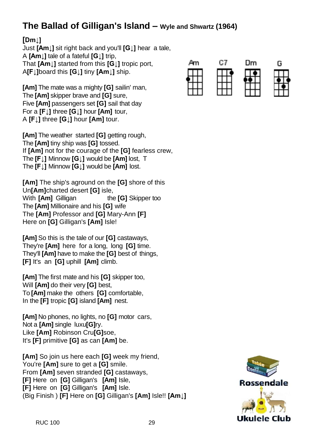# **The Ballad of Gilligan's Island – Wyle and Shwartz (1964)**

#### <span id="page-29-0"></span>**[Dm↓]**

Just **[Am↓]** sit right back and you'll **[G↓]** hear a tale, A **[Am↓]** tale of a fateful **[G↓]** trip, That **[Am↓]** started from this **[G↓]** tropic port, A**[F↓]**board this **[G↓]** tiny **[Am↓]** ship.

**[Am]** The mate was a mighty **[G]** sailin' man, The **[Am]** skipper brave and **[G]** sure, Five **[Am]** passengers set **[G]** sail that day For a **[F↓]** three **[G↓]** hour **[Am]** tour, A **[F↓]** three **[G↓]** hour **[Am]** tour.

**[Am]** The weather started **[G]** getting rough, The **[Am]** tiny ship was **[G]** tossed. If **[Am]** not for the courage of the **[G]** fearless crew, The **[F↓]** Minnow **[G↓]** would be **[Am]** lost, T The **[F↓]** Minnow **[G↓]** would be **[Am]** lost.

**[Am]** The ship's aground on the **[G]** shore of this Un**[Am]**charted desert **[G]** isle, With **[Am]** Gilligan the **[G]** Skipper too The **[Am]** Millionaire and his **[G]** wife The **[Am]** Professor and **[G]** Mary-Ann **[F]** Here on **[G]** Gilligan's **[Am]** Isle!

**[Am]** So this is the tale of our **[G]** castaways, They're **[Am]** here for a long, long **[G]** time. They'll **[Am]** have to make the **[G]** best of things, **[F]** It's an **[G]** uphill **[Am]** climb.

**[Am]** The first mate and his **[G]** skipper too, Will **[Am]** do their very **[G]** best, To **[Am]** make the others **[G]** comfortable, In the **[F]** tropic **[G]** island **[Am]** nest.

**[Am]** No phones, no lights, no **[G]** motor cars, Not a **[Am]** single luxu**[G]**ry. Like **[Am]** Robinson Cru**[G]**soe, It's **[F]** primitive **[G]** as can **[Am]** be.

**[Am]** So join us here each **[G]** week my friend, You're **[Am]** sure to get a **[G]** smile. From **[Am]** seven stranded **[G]** castaways, **[F]** Here on **[G]** Gilligan's **[Am]** Isle, **[F]** Here on **[G]** Gilligan's **[Am]** Isle. (Big Finish ) **[F]** Here on **[G]** Gilligan's **[Am]** Isle!! **[Am↓]**



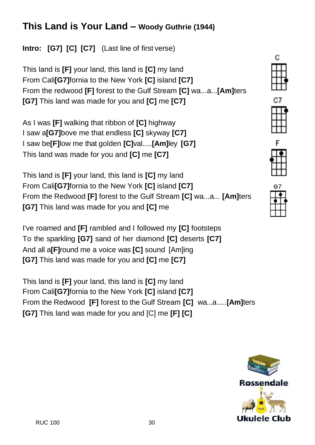# **This Land is Your Land – Woody Guthrie (1944)**

<span id="page-30-0"></span>**Intro: [G7] [C] [C7]** (Last line of first verse)

This land is **[F]** your land, this land is **[C]** my land From Cali**[G7]**fornia to the New York **[C]** island **[C7]** From the redwood **[F]** forest to the Gulf Stream **[C]** wa...a...**[Am]**ters **[G7]** This land was made for you and **[C]** me **[C7]**

As I was **[F]** walking that ribbon of **[C]** highway I saw a**[G7]**bove me that endless **[C]** skyway **[C7]** I saw be**[F]**low me that golden **[C]**val.....**[Am]**ley **[G7]** This land was made for you and **[C]** me **[C7]**

This land is **[F]** your land, this land is **[C]** my land From Cali**[G7]**fornia to the New York **[C]** island **[C7]** From the Redwood **[F]** forest to the Gulf Stream **[C]** wa...a... **[Am]**ters **[G7]** This land was made for you and **[C]** me

I've roamed and **[F]** rambled and I followed my **[C]** footsteps To the sparkling **[G7]** sand of her diamond **[C]** deserts **[C7]**  And all a**[F]**round me a voice was **[C]** sound [Am]ing **[G7]** This land was made for you and **[C]** me **[C7]**

This land is **[F]** your land, this land is **[C]** my land From Cali**[G7]**fornia to the New York **[C]** island **[C7]** From the Redwood **[F]** forest to the Gulf Stream **[C]** wa...a.....**[Am]**ters **[G7]** This land was made for you and [C] me **[F] [C]**





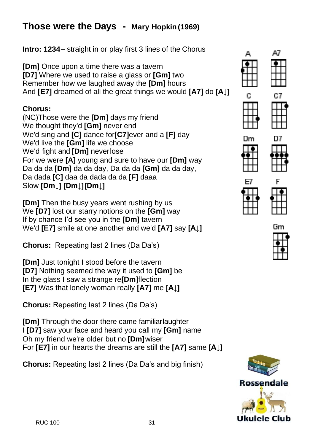# **Those were the Days - Mary Hopkin(1969)**

<span id="page-31-0"></span>**Intro: 1234–** straight in or play first 3 lines of the Chorus

**[Dm]** Once upon a time there was a tavern **[D7]** Where we used to raise a glass or **[Gm]** two Remember how we laughed away the **[Dm]** hours And **[E7]** dreamed of all the great things we would **[A7]** do **[A↓]**

#### **Chorus:**

(NC)Those were the **[Dm]** days my friend We thought they'd **[Gm]** never end We'd sing and **[C]** dance for**[C7]**ever and a **[F]** day We'd live the **[Gm]** life we choose We'd fight and **[Dm]** neverlose For we were **[A]** young and sure to have our **[Dm]** way Da da da **[Dm]** da da day, Da da da **[Gm]** da da day, Da dada **[C]** daa da dada da da **[F]** daaa Slow **[Dm↓] [Dm↓][Dm↓]**

**[Dm]** Then the busy years went rushing by us We **[D7]** lost our starry notions on the **[Gm]** way If by chance I'd see you in the **[Dm]** tavern We'd **[E7]** smile at one another and we'd **[A7]** say **[A↓]** 

**Chorus:** Repeating last 2 lines (Da Da's)

**[Dm]** Just tonight I stood before the tavern **[D7]** Nothing seemed the way it used to **[Gm]** be In the glass I saw a strange re**[Dm]**flection **[E7]** Was that lonely woman really **[A7]** me **[A↓]**

**Chorus:** Repeating last 2 lines (Da Da's)

**[Dm]** Through the door there came familiarlaughter I **[D7]** saw your face and heard you call my **[Gm]** name Oh my friend we're older but no **[Dm]**wiser For **[E7]** in our hearts the dreams are still the **[A7]** same **[A↓]**

**Chorus:** Repeating last 2 lines (Da Da's and big finish)









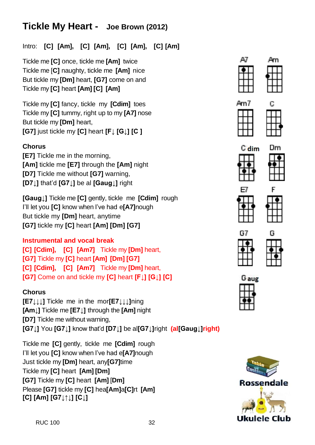# **Tickle My Heart - Joe Brown (2012)**

<span id="page-32-0"></span>Intro: **[C] [Am], [C] [Am], [C] [Am], [C] [Am]**

Tickle me **[C]** once, tickle me **[Am]** twice Tickle me [**C]** naughty, tickle me **[Am]** nice But tickle my **[Dm]** heart, **[G7]** come on and Tickle my **[C]** heart **[Am] [C] [Am]**

Tickle my **[C]** fancy, tickle my **[Cdim]** toes Tickle my **[C]** tummy, right up to my **[A7]** nose But tickle my **[Dm]** heart, **[G7]** just tickle my **[C]** heart **[F↓ [G↓] [C ]**

#### **Chorus**

**[E7]** Tickle me in the morning, **[Am]** tickle me **[E7]** through the **[Am]** night **[D7]** Tickle me without **[G7]** warning, **[D7↓]** that'd **[G7↓]** be al **[Gaug↓]** right

**[Gaug↓]** Tickle me **[C]** gently, tickle me **[Cdim]** rough I'll let you **[C]** know when I've had e**[A7]**nough But tickle my **[Dm]** heart, anytime **[G7]** tickle my **[C]** heart **[Am] [Dm] [G7]**

#### **Instrumental and vocal break**

**[C] [Cdim], [C] [Am7]** Tickle my **[Dm]** heart, **[G7]** Tickle my **[C]** heart **[Am] [Dm] [G7] [C] [Cdim], [C] [Am7]** Tickle my **[Dm]** heart, **[G7]** Come on and tickle my **[C]** heart **[F↓] [G↓] [C]**

#### **Chorus**

**[E7↓↓↓]** Tickle me in the mor**[E7↓↓↓]**ning **[Am↓]** Tickle me **[E7↓]** through the **[Am]** night **[D7]** Tickle me without warning, **[G7↓]** You **[G7↓]** know that'd **[D7↓]** be al**[G7↓]**right **(al[Gaug↓]right)**

**[C] [Am] [G7↓↑↓] [C↓]** Tickle me **[C]** gently, tickle me **[Cdim]** rough I'll let you **[C]** know when I've had e**[A7]**nough Just tickle my **[Dm]** heart, any**[G7]**time Tickle my **[C]** heart **[Am] [Dm] [G7]** Tickle my **[C]** heart **[Am]** [**Dm]** Please **[G7]** tickle my **[C]** hea**[Am]**a**[C]**rt **[Am]**









|  | lm |  |
|--|----|--|
|  |    |  |
|  |    |  |
|  |    |  |
|  |    |  |









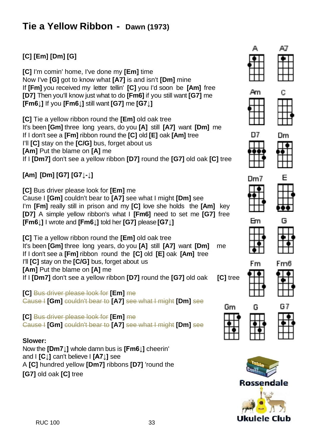# **Tie a Yellow Ribbon - Dawn (1973)**

#### <span id="page-33-0"></span>**[C] [Em] [Dm] [G]**

**[C]** I'm comin' home, I've done my **[Em]** time Now I've **[G]** got to know what **[A7]** is and isn't **[Dm]** mine If **[Fm]** you received my letter tellin' **[C]** you I'd soon be **[Am]** free **[D7]** Then you'll know just what to do **[Fm6]** if you still want **[G7]** me **[Fm6↓]** If you **[Fm6↓]** still want **[G7]** me **[G7↓]**

**[C]** Tie a yellow ribbon round the **[Em]** old oak tree It's been **[Gm]** three long years, do you **[A]** still **[A7]** want **[Dm]** me If I don't see a **[Fm]** ribbon round the **[C]** old **[E]** oak **[Am]** tree I'll **[C]** stay on the **[C/G]** bus, forget about us **[Am]** Put the blame on **[A]** me If I **[Dm7]** don't see a yellow ribbon **[D7]** round the **[G7]** old oak **[C]** tree

#### **[Am] [Dm] [G7] [G7↓-↓]**

**[C]** Bus driver please look for **[Em]** me Cause I **[Gm]** couldn't bear to **[A7]** see what I might **[Dm]** see I'm **[Fm]** really still in prison and my **[C]** love she holds the **[Am]** key **[D7]** A simple yellow ribbon's what I **[Fm6]** need to set me **[G7]** free **[Fm6↓]** I wrote and **[Fm6↓]** told her **[G7]** please**[G7↓]**

me **[C]** Tie a yellow ribbon round the **[Em]** old oak tree It's been **[Gm]** three long years, do you **[A]** still **[A7]** want **[Dm]**  If I don't see a **[Fm]** ribbon round the **[C]** old **[E]** oak **[Am]** tree I'll **[C]** stay on the **[C/G]** bus, forget about us **[Am]** Put the blame on **[A]** me If I **[Dm7]** don't see a yellow ribbon **[D7]** round the **[G7]** old oak

**[C]** Bus driver please look for **[Em]** me Cause I **[Gm]** couldn't bear to **[A7]** see what I might **[Dm]** see

**[C]** Bus driver please look for **[Em]** me Cause I **[Gm]** couldn't bear to **[A7]** see what I might **[Dm]** see

#### **Slower:**

**[G7]** old oak **[C]** tree Now the **[Dm7↓]** whole damn bus is **[Fm6↓]** cheerin' and I **[C↓]** can't believe I **[A7↓]** see A **[C]** hundred yellow **[Dm7]** ribbons **[D7]** 'round the





A7









Dm





F















RUC 100 33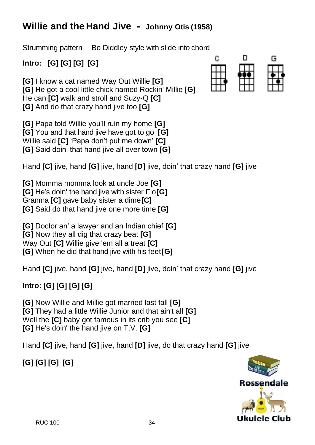# **Willie and the Hand Jive - Johnny Otis (1958)**

<span id="page-34-0"></span>Strumming pattern Bo Diddley style with slide into chord

**Intro: [G] [G] [G] [G]**

**[G]** I know a cat named Way Out Willie **[G] [G] H**e got a cool little chick named Rockin' Millie **[G]** He can **[C]** walk and stroll and Suzy-Q **[C] [G]** And do that crazy hand jive too **[G]**

**[G]** Papa told Willie you'll ruin my home **[G] [G]** You and that hand jive have got to go **[G]** Willie said **[C]** 'Papa don't put me down' **[C] [G]** Said doin' that hand jive all over town **[G]**

Hand **[C]** jive, hand **[G]** jive, hand **[D]** jive, doin' that crazy hand **[G]** jive

**[G]** Momma momma look at uncle Joe **[G] [G]** He's doin' the hand jive with sister Flo**[G]** Granma **[C]** gave baby sister a dime**[C] [G]** Said do that hand jive one more time **[G]**

**[G]** Doctor an' a lawyer and an Indian chief **[G] [G]** Now they all dig that crazy beat **[G]** Way Out **[C]** Willie give 'em all a treat **[C] [G]** When he did that hand jive with his feet**[G]**

Hand **[C]** jive, hand **[G]** jive, hand **[D]** jive, doin' that crazy hand **[G]** jive

#### **Intro: [G] [G] [G] [G]**

**[G]** Now Willie and Millie got married last fall **[G] [G]** They had a little Willie Junior and that ain't all **[G]** Well the **[C]** baby got famous in its crib you see **[C] [G]** He's doin' the hand jive on T.V. **[G]**

Hand **[C]** jive, hand **[G]** jive, hand **[D]** jive, do that crazy hand **[G]** jive

**[G] [G] [G] [G]**



 $\mathbf{D}$ G C